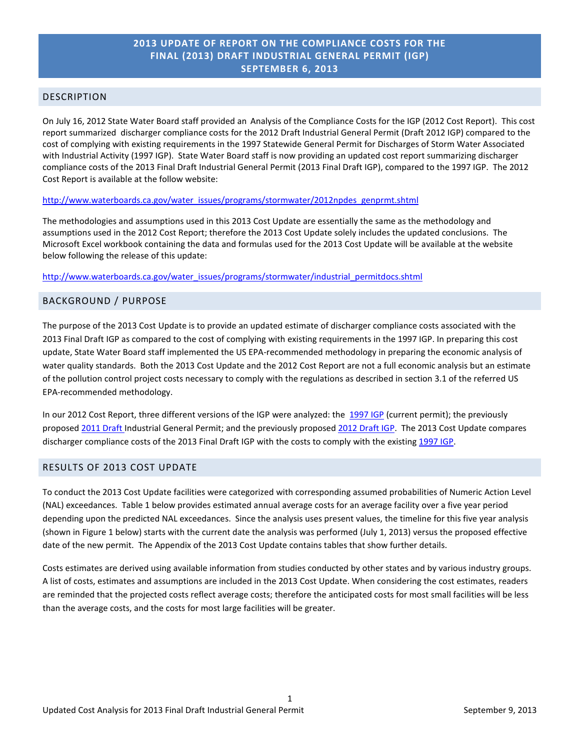# **2013 UPDATE OF REPORT ON THE COMPLIANCE COSTS FOR THE FINAL (2013) DRAFT INDUSTRIAL GENERAL PERMIT (IGP) SEPTEMBER 6, 2013**

### DESCRIPTION

On July 16, 2012 State Water Board staff provided an Analysis of the Compliance Costs for the IGP (2012 Cost Report). This cost report summarized discharger compliance costs for the 2012 Draft Industrial General Permit (Draft 2012 IGP) compared to the cost of complying with existing requirements in the 1997 Statewide General Permit for Discharges of Storm Water Associated with Industrial Activity (1997 IGP). State Water Board staff is now providing an updated cost report summarizing discharger compliance costs of the 2013 Final Draft Industrial General Permit (2013 Final Draft IGP), compared to the 1997 IGP. The 2012 Cost Report is available at the follow website:

#### [http://www.waterboards.ca.gov/water\\_issues/programs/stormwater/2012npdes\\_genprmt.shtml](http://www.waterboards.ca.gov/water_issues/programs/stormwater/2012npdes_genprmt.shtml)

The methodologies and assumptions used in this 2013 Cost Update are essentially the same as the methodology and assumptions used in the 2012 Cost Report; therefore the 2013 Cost Update solely includes the updated conclusions. The Microsoft Excel workbook containing the data and formulas used for the 2013 Cost Update will be available at the website below following the release of this update:

[http://www.waterboards.ca.gov/water\\_issues/programs/stormwater/industrial\\_permitdocs.shtml](http://www.waterboards.ca.gov/water_issues/programs/stormwater/industrial_permitdocs.shtml)

### BACKGROUND / PURPOSE

The purpose of the 2013 Cost Update is to provide an updated estimate of discharger compliance costs associated with the 2013 Final Draft IGP as compared to the cost of complying with existing requirements in the 1997 IGP. In preparing this cost update, State Water Board staff implemented the US EPA-recommended methodology in preparing the economic analysis of water quality standards. Both the 2013 Cost Update and the 2012 Cost Report are not a full economic analysis but an estimate of the pollution control project costs necessary to comply with the regulations as described in section 3.1 of the referred US EPA-recommended methodology.

In our 2012 Cost Report, three different versions of the IGP were analyzed: the [1997 IGP](http://www.waterboards.ca.gov/water_issues/programs/stormwater/gen_indus.shtml#indus) (current permit); the previously proposed [2011 Draft](http://www.waterboards.ca.gov/water_issues/programs/stormwater/indstpermits.shtml) Industrial General Permit; and the previously proposed [2012 Draft](http://www.waterboards.ca.gov/water_issues/programs/stormwater/2012npdes_genprmt.shtml) IGP. The 2013 Cost Update compares discharger compliance costs of the 2013 Final Draft IGP with the costs to comply with the existin[g 1997 IGP.](http://www.waterboards.ca.gov/water_issues/programs/stormwater/gen_indus.shtml#indus)

## RESULTS OF 2013 COST UPDATE

To conduct the 2013 Cost Update facilities were categorized with corresponding assumed probabilities of Numeric Action Level (NAL) exceedances. Table 1 below provides estimated annual average costs for an average facility over a five year period depending upon the predicted NAL exceedances. Since the analysis uses present values, the timeline for this five year analysis (shown in Figure 1 below) starts with the current date the analysis was performed (July 1, 2013) versus the proposed effective date of the new permit. The Appendix of the 2013 Cost Update contains tables that show further details.

Costs estimates are derived using available information from studies conducted by other states and by various industry groups. A list of costs, estimates and assumptions are included in the 2013 Cost Update. When considering the cost estimates, readers are reminded that the projected costs reflect average costs; therefore the anticipated costs for most small facilities will be less than the average costs, and the costs for most large facilities will be greater.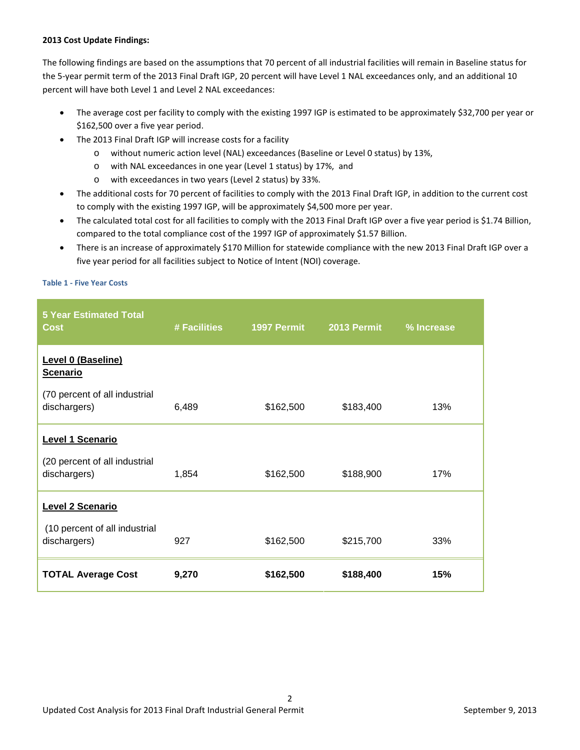#### **2013 Cost Update Findings:**

The following findings are based on the assumptions that 70 percent of all industrial facilities will remain in Baseline status for the 5-year permit term of the 2013 Final Draft IGP, 20 percent will have Level 1 NAL exceedances only, and an additional 10 percent will have both Level 1 and Level 2 NAL exceedances:

- The average cost per facility to comply with the existing 1997 IGP is estimated to be approximately \$32,700 per year or \$162,500 over a five year period.
- The 2013 Final Draft IGP will increase costs for a facility
	- o without numeric action level (NAL) exceedances (Baseline or Level 0 status) by 13%,
	- o with NAL exceedances in one year (Level 1 status) by 17%, and
	- o with exceedances in two years (Level 2 status) by 33%.
- The additional costs for 70 percent of facilities to comply with the 2013 Final Draft IGP, in addition to the current cost to comply with the existing 1997 IGP, will be approximately \$4,500 more per year.
- The calculated total cost for all facilities to comply with the 2013 Final Draft IGP over a five year period is \$1.74 Billion, compared to the total compliance cost of the 1997 IGP of approximately \$1.57 Billion.
- There is an increase of approximately \$170 Million for statewide compliance with the new 2013 Final Draft IGP over a five year period for all facilities subject to Notice of Intent (NOI) coverage.

#### **Table 1 - Five Year Costs**

| <b>5 Year Estimated Total</b><br><b>Cost</b>  | # Facilities | 1997 Permit | 2013 Permit | % Increase |
|-----------------------------------------------|--------------|-------------|-------------|------------|
| Level 0 (Baseline)<br><b>Scenario</b>         |              |             |             |            |
| (70 percent of all industrial<br>dischargers) | 6,489        | \$162,500   | \$183,400   | 13%        |
| <b>Level 1 Scenario</b>                       |              |             |             |            |
| (20 percent of all industrial<br>dischargers) | 1,854        | \$162,500   | \$188,900   | 17%        |
| <b>Level 2 Scenario</b>                       |              |             |             |            |
| (10 percent of all industrial<br>dischargers) | 927          | \$162,500   | \$215,700   | 33%        |
| <b>TOTAL Average Cost</b>                     | 9,270        | \$162,500   | \$188,400   | 15%        |

 $\mathfrak{p}$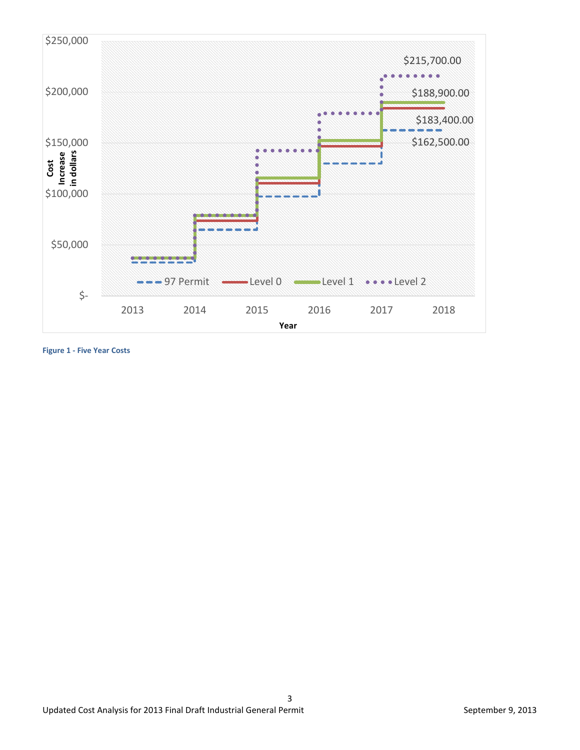

**Figure 1 - Five Year Costs**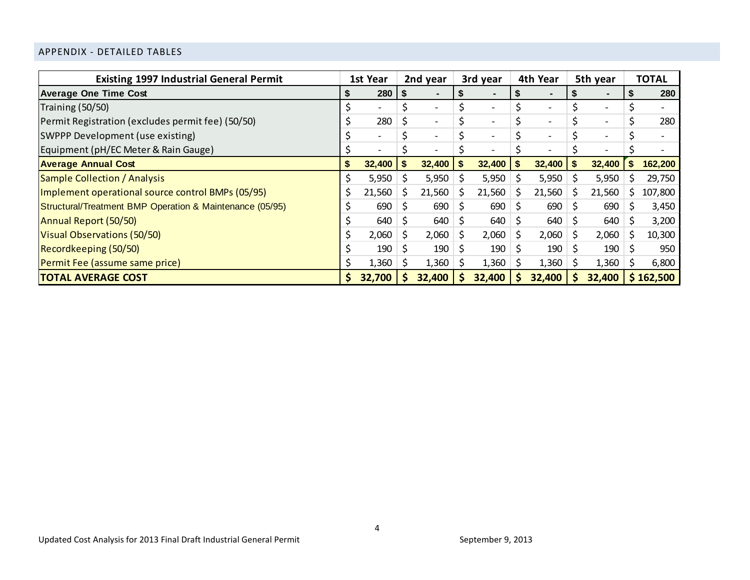# APPENDIX - DETAILED TABLES

| <b>Existing 1997 Industrial General Permit</b>           | 1st Year |        | 2nd year |                              |    | 3rd year                 | 4th Year     |                              | 5th year |                          |    | <b>TOTAL</b> |
|----------------------------------------------------------|----------|--------|----------|------------------------------|----|--------------------------|--------------|------------------------------|----------|--------------------------|----|--------------|
| <b>Average One Time Cost</b>                             |          | 280    |          | $\blacksquare$               |    |                          |              |                              |          |                          |    | 280          |
| Training (50/50)                                         |          |        |          | $\qquad \qquad \blacksquare$ |    | $\overline{\phantom{0}}$ |              |                              | \$       | $\overline{\phantom{a}}$ |    |              |
| Permit Registration (excludes permit fee) (50/50)        |          | 280    |          | $\overline{\phantom{a}}$     |    |                          |              |                              | \$       | $\overline{\phantom{0}}$ |    | 280          |
| SWPPP Development (use existing)                         |          |        |          | $\overline{\phantom{a}}$     |    | $\overline{\phantom{0}}$ |              | $\qquad \qquad \blacksquare$ |          | $\overline{\phantom{0}}$ |    |              |
| Equipment (pH/EC Meter & Rain Gauge)                     |          |        |          |                              |    |                          |              |                              |          | $\overline{\phantom{a}}$ |    |              |
| <b>Average Annual Cost</b>                               | S        | 32,400 | - 5      | 32,400                       | \$ | 32,400                   |              | 32,400                       | \$       | 32,400                   | S. | 162,200      |
| Sample Collection / Analysis                             |          | 5,950  |          | 5,950                        |    | 5,950                    |              | 5,950                        | \$.      | 5,950                    |    | 29,750       |
| Implement operational source control BMPs (05/95)        |          | 21,560 | S        | 21,560                       | S  | 21,560                   |              | 21,560                       | \$.      | 21,560                   | S  | 107,800      |
| Structural/Treatment BMP Operation & Maintenance (05/95) |          | 690    |          | 690                          | S  | 690                      |              | 690                          | S        | 690                      |    | 3,450        |
| Annual Report (50/50)                                    |          | 640    | S        | 640                          | S  | $640 \,$ \$              |              | 640                          | -S       | 640                      | S  | 3,200        |
| Visual Observations (50/50)                              |          | 2,060  |          | 2,060                        | \$ | 2,060                    | <sub>S</sub> | 2,060                        | S        | 2,060                    |    | 10,300       |
| Recordkeeping (50/50)                                    |          | 190    |          | 190                          | S  | $190 \mid 5$             |              | 190                          | -S       | 190                      |    | 950          |
| Permit Fee (assume same price)                           |          | 1,360  |          | 1,360                        |    | 1,360                    |              | 1,360                        | S        | 1,360                    | S  | 6,800        |
| <b>TOTAL AVERAGE COST</b>                                |          | 32,700 |          | 32,400                       |    | 32,400                   |              | 32,400                       | <b>S</b> | 32,400                   |    | \$162,500    |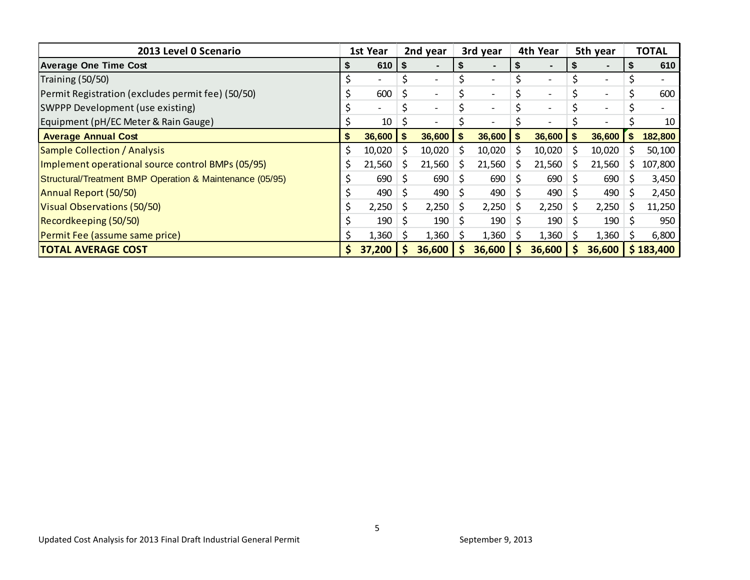| 2013 Level 0 Scenario                                    | 1st Year |                          | 2nd year |                          |    | 3rd year                 | 4th Year |                          | 5th year     |                          |   | <b>TOTAL</b> |
|----------------------------------------------------------|----------|--------------------------|----------|--------------------------|----|--------------------------|----------|--------------------------|--------------|--------------------------|---|--------------|
| <b>Average One Time Cost</b>                             |          | 610                      | S        | $\blacksquare$           |    |                          |          |                          | Ъ            |                          |   | 610          |
| Training (50/50)                                         |          |                          |          | $\overline{\phantom{0}}$ |    | $\overline{\phantom{0}}$ |          | $\overline{\phantom{a}}$ | \$           | $\overline{\phantom{0}}$ |   |              |
| Permit Registration (excludes permit fee) (50/50)        |          | 600                      |          | $\overline{\phantom{a}}$ |    | $\overline{\phantom{0}}$ |          |                          |              | $\overline{\phantom{a}}$ |   | 600          |
| SWPPP Development (use existing)                         |          | $\overline{\phantom{0}}$ |          | $\overline{\phantom{0}}$ |    | $\overline{\phantom{0}}$ |          | $\overline{\phantom{a}}$ |              | $\overline{\phantom{0}}$ |   |              |
| Equipment (pH/EC Meter & Rain Gauge)                     |          | 10                       |          | $\overline{\phantom{a}}$ |    | -                        |          | $\overline{\phantom{a}}$ |              | $\overline{\phantom{a}}$ |   | 10           |
| <b>Average Annual Cost</b>                               | S.       | 36,600                   |          | 36,600                   | \$ | 36,600                   |          | 36,600                   | \$           | 36,600                   | S | 182,800      |
| <b>Sample Collection / Analysis</b>                      | \$       | 10,020                   |          | 10,020                   | S  | 10,020                   |          | 10,020                   | S            | 10,020                   | S | 50,100       |
| Implement operational source control BMPs (05/95)        | Ś        | 21,560                   |          | 21,560                   | S  | 21,560                   |          | 21,560                   | S            | 21,560                   | S | 107,800      |
| Structural/Treatment BMP Operation & Maintenance (05/95) |          | 690                      |          | 690                      | S  | 690                      |          | 690                      |              | 690                      |   | 3,450        |
| Annual Report (50/50)                                    |          | 490                      | \$.      | 490                      | S  | $490 \mid 5$             |          | 490                      | <sub>S</sub> | 490                      |   | 2,450        |
| Visual Observations (50/50)                              |          | 2,250                    | \$       | 2,250                    | \$ | 2,250                    | Ŝ.       | 2,250                    | <sup>S</sup> | 2,250                    | Ś | 11,250       |
| Recordkeeping (50/50)                                    |          | 190                      | -S       | 190                      |    | 190                      | ک '      | 190                      | S            | 190                      |   | 950          |
| Permit Fee (assume same price)                           |          | 1,360                    |          | 1,360                    |    | 1,360                    | S.       | 1,360                    | S            | 1,360                    | S | 6,800        |
| <b>TOTAL AVERAGE COST</b>                                |          | 37,200                   |          | 36,600                   |    | 36,600                   |          | 36,600                   |              | 36,600                   |   | \$183,400    |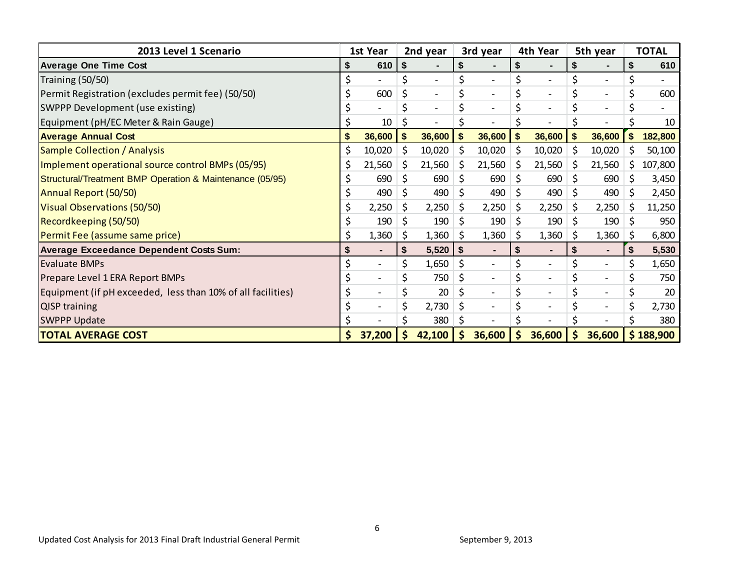| 2013 Level 1 Scenario                                       | 1st Year |                          | 2nd year |                          |     | 3rd year                 |     | 4th Year                 | 5th year |                          |     | <b>TOTAL</b> |
|-------------------------------------------------------------|----------|--------------------------|----------|--------------------------|-----|--------------------------|-----|--------------------------|----------|--------------------------|-----|--------------|
| <b>Average One Time Cost</b>                                |          | 610                      | \$       |                          | \$  |                          |     |                          | \$       |                          |     | 610          |
| Training (50/50)                                            | \$       |                          | \$       | $\overline{\phantom{a}}$ | \$  | $\overline{\phantom{a}}$ | \$  |                          | \$       | $\overline{\phantom{a}}$ |     |              |
| Permit Registration (excludes permit fee) (50/50)           |          | 600                      | \$       | $\overline{\phantom{a}}$ | \$  | $\overline{\phantom{a}}$ | \$  | $\overline{\phantom{a}}$ | \$       | $\overline{\phantom{a}}$ |     | 600          |
| SWPPP Development (use existing)                            |          |                          | \$       | $\overline{\phantom{a}}$ | \$  | $\overline{\phantom{a}}$ | \$  | $\overline{\phantom{a}}$ | \$       | $\overline{\phantom{a}}$ |     |              |
| Equipment (pH/EC Meter & Rain Gauge)                        |          | 10                       |          |                          |     |                          |     |                          |          |                          |     | 10           |
| <b>Average Annual Cost</b>                                  | \$       | 36,600                   | \$       | 36,600                   | \$  | 36,600                   |     | 36,600                   | \$       | 36,600                   | \$  | 182,800      |
| <b>Sample Collection / Analysis</b>                         | \$       | 10,020                   | \$       | 10,020                   | \$  | 10,020                   | \$  | 10,020                   | \$       | 10,020                   | S   | 50,100       |
| Implement operational source control BMPs (05/95)           | \$       | 21,560                   | \$.      | 21,560                   | \$  | 21,560                   | \$. | 21,560                   | \$       | 21,560                   | \$  | 107,800      |
| Structural/Treatment BMP Operation & Maintenance (05/95)    | \$       | 690                      | \$       | 690                      | \$. | 690                      | \$  | 690                      | \$       | 690                      | S   | 3,450        |
| Annual Report (50/50)                                       |          | 490                      | \$       | 490                      | \$  | 490                      | \$  | 490                      | S        | 490                      | \$  | 2,450        |
| Visual Observations (50/50)                                 | \$       | 2,250                    | S.       | 2,250                    | \$  | 2,250                    | \$  | 2,250                    | S        | 2,250                    | \$  | 11,250       |
| Recordkeeping (50/50)                                       |          | 190                      | \$       | 190                      | \$  | 190                      | \$  | 190                      | \$       | 190                      | \$  | 950          |
| Permit Fee (assume same price)                              | Ś        | 1,360                    | \$.      | 1,360                    | \$. | 1,360                    | \$  | 1,360                    | S        | 1,360                    | \$. | 6,800        |
| <b>Average Exceedance Dependent Costs Sum:</b>              | \$       | ٠                        | \$       | 5,520                    | \$  |                          | \$  | $\blacksquare$           | \$       | $\blacksquare$           | \$  | 5,530        |
| <b>Evaluate BMPs</b>                                        |          |                          |          | 1,650                    | \$  | $\overline{\phantom{a}}$ | \$  |                          | \$       | $\overline{\phantom{a}}$ | \$  | 1,650        |
| Prepare Level 1 ERA Report BMPs                             |          |                          |          | 750                      | \$  | $\overline{\phantom{a}}$ | \$  | $\overline{\phantom{a}}$ | \$       | $\overline{\phantom{a}}$ |     | 750          |
| Equipment (if pH exceeded, less than 10% of all facilities) |          | $\overline{\phantom{a}}$ |          | 20                       | \$  | $\overline{\phantom{a}}$ | \$  | $\overline{\phantom{a}}$ | \$       | $\overline{\phantom{a}}$ |     | 20           |
| <b>QISP training</b>                                        |          |                          |          | 2,730                    | \$  | $\overline{\phantom{a}}$ | \$  | $\overline{\phantom{a}}$ | \$       | $\overline{\phantom{0}}$ | \$  | 2,730        |
| <b>SWPPP Update</b>                                         |          |                          |          | 380                      | \$  |                          |     |                          |          |                          |     | 380          |
| <b>TOTAL AVERAGE COST</b>                                   | \$.      | 37,200                   |          | 42,100                   | S   | 36,600                   | Ş   | 36,600                   | \$       | 36,600                   |     | \$188,900    |